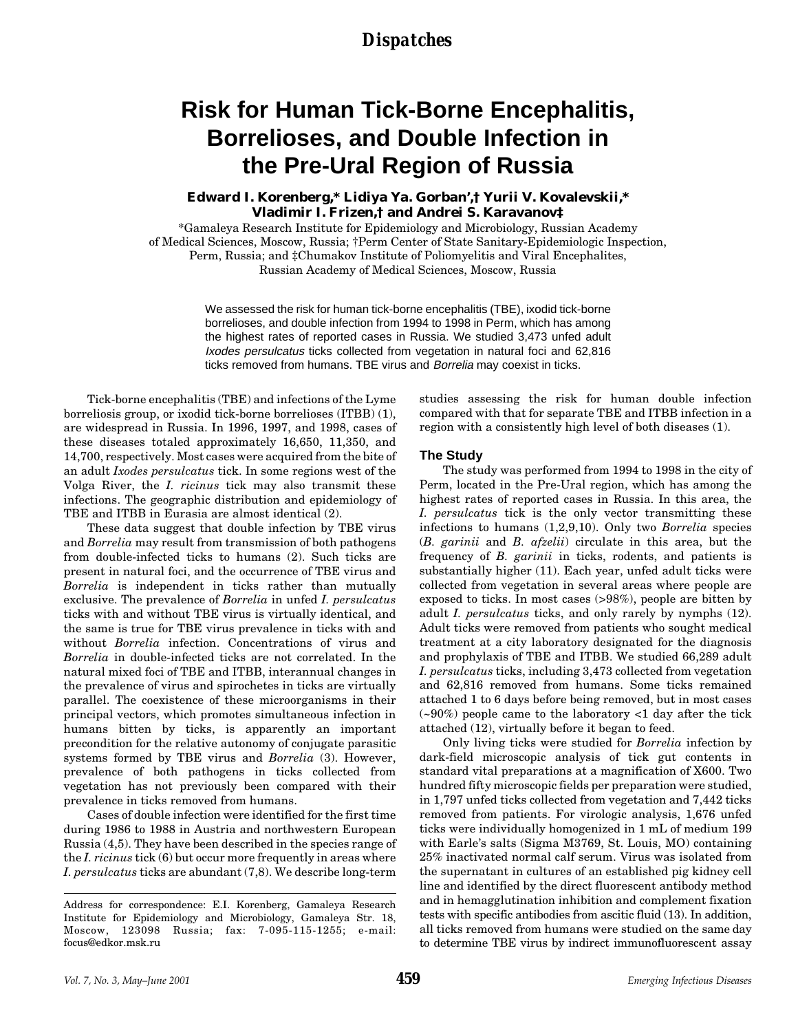## *Dispatches*

# **Risk for Human Tick-Borne Encephalitis, Borrelioses, and Double Infection in the Pre-Ural Region of Russia**

### **Edward I. Korenberg,\* Lidiya Ya. Gorban',† Yurii V. Kovalevskii,\* Vladimir I. Frizen,† and Andrei S. Karavanov‡**

\*Gamaleya Research Institute for Epidemiology and Microbiology, Russian Academy of Medical Sciences, Moscow, Russia; †Perm Center of State Sanitary-Epidemiologic Inspection, Perm, Russia; and ‡Chumakov Institute of Poliomyelitis and Viral Encephalites, Russian Academy of Medical Sciences, Moscow, Russia

> We assessed the risk for human tick-borne encephalitis (TBE), ixodid tick-borne borrelioses, and double infection from 1994 to 1998 in Perm, which has among the highest rates of reported cases in Russia. We studied 3,473 unfed adult Ixodes persulcatus ticks collected from vegetation in natural foci and 62,816 ticks removed from humans. TBE virus and Borrelia may coexist in ticks.

Tick-borne encephalitis (TBE) and infections of the Lyme borreliosis group, or ixodid tick-borne borrelioses (ITBB) (1), are widespread in Russia. In 1996, 1997, and 1998, cases of these diseases totaled approximately 16,650, 11,350, and 14,700, respectively. Most cases were acquired from the bite of an adult *Ixodes persulcatus* tick. In some regions west of the Volga River, the *I. ricinus* tick may also transmit these infections. The geographic distribution and epidemiology of TBE and ITBB in Eurasia are almost identical (2).

These data suggest that double infection by TBE virus and *Borrelia* may result from transmission of both pathogens from double-infected ticks to humans (2). Such ticks are present in natural foci, and the occurrence of TBE virus and *Borrelia* is independent in ticks rather than mutually exclusive. The prevalence of *Borrelia* in unfed *I. persulcatus* ticks with and without TBE virus is virtually identical, and the same is true for TBE virus prevalence in ticks with and without *Borrelia* infection. Concentrations of virus and *Borrelia* in double-infected ticks are not correlated. In the natural mixed foci of TBE and ITBB, interannual changes in the prevalence of virus and spirochetes in ticks are virtually parallel. The coexistence of these microorganisms in their principal vectors, which promotes simultaneous infection in humans bitten by ticks, is apparently an important precondition for the relative autonomy of conjugate parasitic systems formed by TBE virus and *Borrelia* (3). However, prevalence of both pathogens in ticks collected from vegetation has not previously been compared with their prevalence in ticks removed from humans.

Cases of double infection were identified for the first time during 1986 to 1988 in Austria and northwestern European Russia (4,5). They have been described in the species range of the *I. ricinus* tick (6) but occur more frequently in areas where *I. persulcatus* ticks are abundant (7,8). We describe long-term

studies assessing the risk for human double infection compared with that for separate TBE and ITBB infection in a region with a consistently high level of both diseases (1).

#### **The Study**

The study was performed from 1994 to 1998 in the city of Perm, located in the Pre-Ural region, which has among the highest rates of reported cases in Russia. In this area, the *I. persulcatus* tick is the only vector transmitting these infections to humans (1,2,9,10). Only two *Borrelia* species (*B. garinii* and *B. afzelii*) circulate in this area, but the frequency of *B. garinii* in ticks, rodents, and patients is substantially higher (11). Each year, unfed adult ticks were collected from vegetation in several areas where people are exposed to ticks. In most cases (>98%), people are bitten by adult *I. persulcatus* ticks, and only rarely by nymphs (12). Adult ticks were removed from patients who sought medical treatment at a city laboratory designated for the diagnosis and prophylaxis of TBE and ITBB. We studied 66,289 adult *I. persulcatus* ticks, including 3,473 collected from vegetation and 62,816 removed from humans. Some ticks remained attached 1 to 6 days before being removed, but in most cases  $(-90%)$  people came to the laboratory  $-1$  day after the tick attached (12), virtually before it began to feed.

Only living ticks were studied for *Borrelia* infection by dark-field microscopic analysis of tick gut contents in standard vital preparations at a magnification of X600. Two hundred fifty microscopic fields per preparation were studied, in 1,797 unfed ticks collected from vegetation and 7,442 ticks removed from patients. For virologic analysis, 1,676 unfed ticks were individually homogenized in 1 mL of medium 199 with Earle's salts (Sigma M3769, St. Louis, MO) containing 25% inactivated normal calf serum. Virus was isolated from the supernatant in cultures of an established pig kidney cell line and identified by the direct fluorescent antibody method and in hemagglutination inhibition and complement fixation tests with specific antibodies from ascitic fluid (13). In addition, all ticks removed from humans were studied on the same day to determine TBE virus by indirect immunofluorescent assay

Address for correspondence: E.I. Korenberg, Gamaleya Research Institute for Epidemiology and Microbiology, Gamaleya Str. 18, Moscow, 123098 Russia; fax: 7-095-115-1255; e-mail: focus@edkor.msk.ru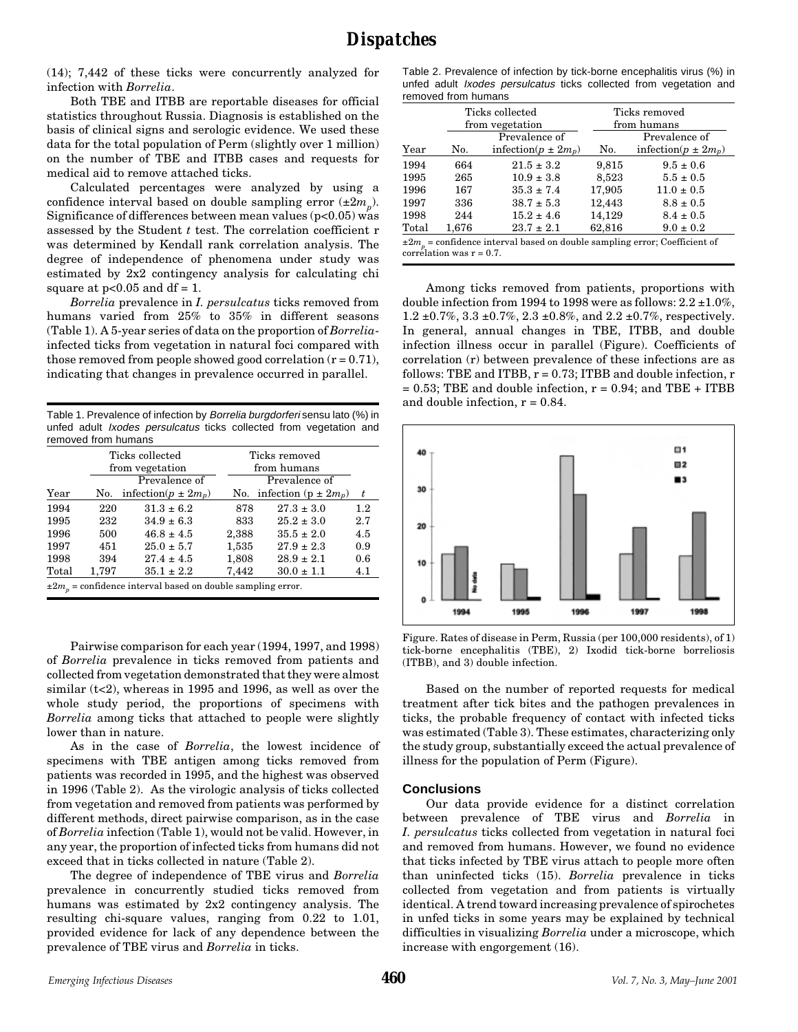(14); 7,442 of these ticks were concurrently analyzed for infection with *Borrelia*.

Both TBE and ITBB are reportable diseases for official statistics throughout Russia. Diagnosis is established on the basis of clinical signs and serologic evidence. We used these data for the total population of Perm (slightly over 1 million) on the number of TBE and ITBB cases and requests for medical aid to remove attached ticks.

Calculated percentages were analyzed by using a confidence interval based on double sampling error  $(\pm 2m_n)$ . Significance of differences between mean values ( $p<0.05$ ) was assessed by the Student *t* test. The correlation coefficient r was determined by Kendall rank correlation analysis. The degree of independence of phenomena under study was estimated by 2x2 contingency analysis for calculating chi square at  $p<0.05$  and  $df = 1$ .

*Borrelia* prevalence in *I. persulcatus* ticks removed from humans varied from 25% to 35% in different seasons (Table 1). A 5-year series of data on the proportion of *Borrelia*infected ticks from vegetation in natural foci compared with those removed from people showed good correlation  $(r = 0.71)$ , indicating that changes in prevalence occurred in parallel.

Table 1. Prevalence of infection by Borrelia burgdorferi sensu lato (%) in unfed adult Ixodes persulcatus ticks collected from vegetation and removed from humans

|                                                                  |       | Ticks collected<br>from vegetation |       | Ticks removed<br>from humans   |     |  |  |
|------------------------------------------------------------------|-------|------------------------------------|-------|--------------------------------|-----|--|--|
|                                                                  |       | Prevalence of                      |       | Prevalence of                  |     |  |  |
| Year                                                             | No.   | infection( $p \pm 2m_p$ )          |       | No. infection ( $p \pm 2m_p$ ) | t   |  |  |
| 1994                                                             | 220   | $31.3 \pm 6.2$                     | 878   | $27.3 \pm 3.0$                 | 1.2 |  |  |
| 1995                                                             | 232   | $34.9 \pm 6.3$                     | 833   | $25.2 \pm 3.0$                 | 2.7 |  |  |
| 1996                                                             | 500   | $46.8 \pm 4.5$                     | 2,388 | $35.5 \pm 2.0$                 | 4.5 |  |  |
| 1997                                                             | 451   | $25.0 \pm 5.7$                     | 1,535 | $27.9 \pm 2.3$                 | 0.9 |  |  |
| 1998                                                             | 394   | $27.4 \pm 4.5$                     | 1,808 | $28.9 \pm 2.1$                 | 0.6 |  |  |
| Total                                                            | 1,797 | $35.1 \pm 2.2$                     | 7.442 | $30.0 \pm 1.1$                 | 4.1 |  |  |
| $\pm 2m_p$ = confidence interval based on double sampling error. |       |                                    |       |                                |     |  |  |

Pairwise comparison for each year (1994, 1997, and 1998) of *Borrelia* prevalence in ticks removed from patients and collected from vegetation demonstrated that they were almost similar  $(t<2)$ , whereas in 1995 and 1996, as well as over the whole study period, the proportions of specimens with *Borrelia* among ticks that attached to people were slightly lower than in nature.

As in the case of *Borrelia*, the lowest incidence of specimens with TBE antigen among ticks removed from patients was recorded in 1995, and the highest was observed in 1996 (Table 2). As the virologic analysis of ticks collected from vegetation and removed from patients was performed by different methods, direct pairwise comparison, as in the case of *Borrelia* infection (Table 1), would not be valid. However, in any year, the proportion of infected ticks from humans did not exceed that in ticks collected in nature (Table 2).

The degree of independence of TBE virus and *Borrelia* prevalence in concurrently studied ticks removed from humans was estimated by 2x2 contingency analysis. The resulting chi-square values, ranging from 0.22 to 1.01, provided evidence for lack of any dependence between the prevalence of TBE virus and *Borrelia* in ticks.

Table 2. Prevalence of infection by tick-borne encephalitis virus (%) in unfed adult Ixodes persulcatus ticks collected from vegetation and removed from humans

|                                                                                                                   |       | Ticks collected<br>from vegetation | Ticks removed<br>from humans |                           |  |
|-------------------------------------------------------------------------------------------------------------------|-------|------------------------------------|------------------------------|---------------------------|--|
|                                                                                                                   |       | Prevalence of                      |                              | Prevalence of             |  |
| Year                                                                                                              | No.   | infection( $p \pm 2m_p$ )          | No.                          | infection( $p \pm 2m_p$ ) |  |
| 1994                                                                                                              | 664   | $21.5 \pm 3.2$                     | 9,815                        | $9.5 \pm 0.6$             |  |
| 1995                                                                                                              | 265   | $10.9 \pm 3.8$                     | 8,523                        | $5.5 \pm 0.5$             |  |
| 1996                                                                                                              | 167   | $35.3 \pm 7.4$                     | 17,905                       | $11.0 \pm 0.5$            |  |
| 1997                                                                                                              | 336   | $38.7 \pm 5.3$                     | 12,443                       | $8.8 \pm 0.5$             |  |
| 1998                                                                                                              | 244   | $15.2 \pm 4.6$                     | 14,129                       | $8.4 \pm 0.5$             |  |
| Total                                                                                                             | 1,676 | $23.7 \pm 2.1$                     | 62,816                       | $9.0 \pm 0.2$             |  |
| $\pm 2m_{_p}$ = confidence interval based on double sampling error; Coefficient of<br>correlation was $r = 0.7$ . |       |                                    |                              |                           |  |

Among ticks removed from patients, proportions with double infection from 1994 to 1998 were as follows:  $2.2 \pm 1.0\%$ , 1.2 ±0.7%, 3.3 ±0.7%, 2.3 ±0.8%, and 2.2 ±0.7%, respectively. In general, annual changes in TBE, ITBB, and double infection illness occur in parallel (Figure). Coefficients of correlation (r) between prevalence of these infections are as follows: TBE and ITBB,  $r = 0.73$ ; ITBB and double infection,  $r = 0.73$  $= 0.53$ ; TBE and double infection,  $r = 0.94$ ; and TBE + ITBB and double infection,  $r = 0.84$ .



Figure. Rates of disease in Perm, Russia (per 100,000 residents), of 1) tick-borne encephalitis (TBE), 2) Ixodid tick-borne borreliosis (ITBB), and 3) double infection.

Based on the number of reported requests for medical treatment after tick bites and the pathogen prevalences in ticks, the probable frequency of contact with infected ticks was estimated (Table 3). These estimates, characterizing only the study group, substantially exceed the actual prevalence of illness for the population of Perm (Figure).

#### **Conclusions**

Our data provide evidence for a distinct correlation between prevalence of TBE virus and *Borrelia* in *I. persulcatus* ticks collected from vegetation in natural foci and removed from humans. However, we found no evidence that ticks infected by TBE virus attach to people more often than uninfected ticks (15). *Borrelia* prevalence in ticks collected from vegetation and from patients is virtually identical. A trend toward increasing prevalence of spirochetes in unfed ticks in some years may be explained by technical difficulties in visualizing *Borrelia* under a microscope, which increase with engorgement (16).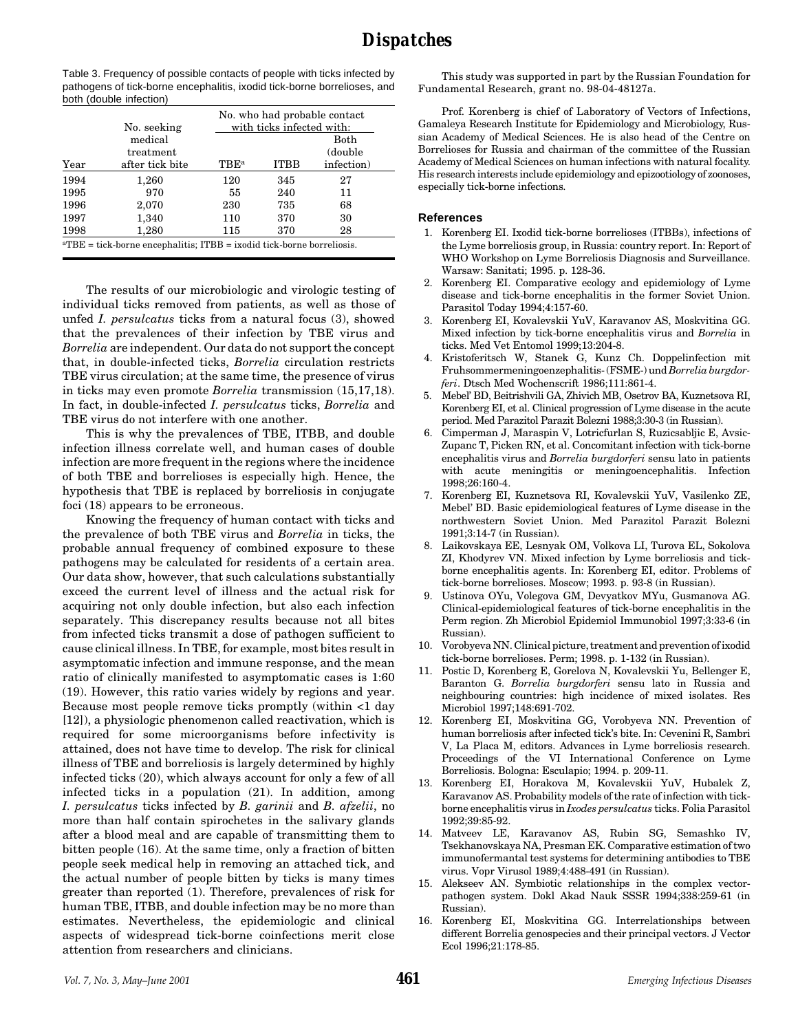Table 3. Frequency of possible contacts of people with ticks infected by pathogens of tick-borne encephalitis, ixodid tick-borne borrelioses, and both (double infection)

|                                                                                  |                 | No. who had probable contact |                           |            |  |  |  |
|----------------------------------------------------------------------------------|-----------------|------------------------------|---------------------------|------------|--|--|--|
|                                                                                  | No. seeking     |                              | with ticks infected with: |            |  |  |  |
|                                                                                  | medical         |                              |                           | Both       |  |  |  |
|                                                                                  | treatment       |                              |                           | (double)   |  |  |  |
| Year                                                                             | after tick bite | <b>TBE</b> <sup>a</sup>      | <b>ITBB</b>               | infection) |  |  |  |
| 1994                                                                             | 1,260           | 120                          | 345                       | 27         |  |  |  |
| 1995                                                                             | 970             | 55                           | 240                       | 11         |  |  |  |
| 1996                                                                             | 2,070           | 230                          | 735                       | 68         |  |  |  |
| 1997                                                                             | 1,340           | 110                          | 370                       | 30         |  |  |  |
| 1998                                                                             | 1,280           | 115                          | 370                       | 28         |  |  |  |
| ${}^{\rm a}TBE$ = tick-borne encephalitis; ITBB = ixodid tick-borne borreliosis. |                 |                              |                           |            |  |  |  |

The results of our microbiologic and virologic testing of individual ticks removed from patients, as well as those of unfed *I. persulcatus* ticks from a natural focus (3), showed that the prevalences of their infection by TBE virus and *Borrelia* are independent. Our data do not support the concept that, in double-infected ticks, *Borrelia* circulation restricts TBE virus circulation; at the same time, the presence of virus in ticks may even promote *Borrelia* transmission (15,17,18). In fact, in double-infected *I. persulcatus* ticks, *Borrelia* and TBE virus do not interfere with one another.

This is why the prevalences of TBE, ITBB, and double infection illness correlate well, and human cases of double infection are more frequent in the regions where the incidence of both TBE and borrelioses is especially high. Hence, the hypothesis that TBE is replaced by borreliosis in conjugate foci (18) appears to be erroneous.

Knowing the frequency of human contact with ticks and the prevalence of both TBE virus and *Borrelia* in ticks, the probable annual frequency of combined exposure to these pathogens may be calculated for residents of a certain area. Our data show, however, that such calculations substantially exceed the current level of illness and the actual risk for acquiring not only double infection, but also each infection separately. This discrepancy results because not all bites from infected ticks transmit a dose of pathogen sufficient to cause clinical illness. In TBE, for example, most bites result in asymptomatic infection and immune response, and the mean ratio of clinically manifested to asymptomatic cases is 1:60 (19). However, this ratio varies widely by regions and year. Because most people remove ticks promptly (within <1 day [12]), a physiologic phenomenon called reactivation, which is required for some microorganisms before infectivity is attained, does not have time to develop. The risk for clinical illness of TBE and borreliosis is largely determined by highly infected ticks (20), which always account for only a few of all infected ticks in a population (21). In addition, among *I. persulcatus* ticks infected by *B. garinii* and *B. afzelii*, no more than half contain spirochetes in the salivary glands after a blood meal and are capable of transmitting them to bitten people (16). At the same time, only a fraction of bitten people seek medical help in removing an attached tick, and the actual number of people bitten by ticks is many times greater than reported (1). Therefore, prevalences of risk for human TBE, ITBB, and double infection may be no more than estimates. Nevertheless, the epidemiologic and clinical aspects of widespread tick-borne coinfections merit close attention from researchers and clinicians.

This study was supported in part by the Russian Foundation for Fundamental Research, grant no. 98-04-48127a.

Prof. Korenberg is chief of Laboratory of Vectors of Infections, Gamaleya Research Institute for Epidemiology and Microbiology, Russian Academy of Medical Sciences. He is also head of the Centre on Borrelioses for Russia and chairman of the committee of the Russian Academy of Medical Sciences on human infections with natural focality. His research interests include epidemiology and epizootiology of zoonoses, especially tick-borne infections.

#### **References**

- 1. Korenberg EI. Ixodid tick-borne borrelioses (ITBBs), infections of the Lyme borreliosis group, in Russia: country report. In: Report of WHO Workshop on Lyme Borreliosis Diagnosis and Surveillance. Warsaw: Sanitati; 1995. p. 128-36.
- 2. Korenberg EI. Comparative ecology and epidemiology of Lyme disease and tick-borne encephalitis in the former Soviet Union. Parasitol Today 1994;4:157-60.
- 3. Korenberg EI, Kovalevskii YuV, Karavanov AS, Moskvitina GG. Mixed infection by tick-borne encephalitis virus and *Borrelia* in ticks. Med Vet Entomol 1999;13:204-8.
- 4. Kristoferitsch W, Stanek G, Kunz Ch. Doppelinfection mit Fruhsommermeningoenzephalitis- (FSME-) und *Borrelia burgdorferi*. Dtsch Med Wochenscrift 1986;111:861-4.
- 5. Mebel' BD, Beitrishvili GA, Zhivich MB, Osetrov BA, Kuznetsova RI, Korenberg EI, et al. Clinical progression of Lyme disease in the acute period. Med Parazitol Parazit Bolezni 1988;3:30-3 (in Russian).
- 6. Cimperman J, Maraspin V, Lotricfurlan S, Ruzicsabljic E, Avsic-Zupanc T, Picken RN, et al. Concomitant infection with tick-borne encephalitis virus and *Borrelia burgdorferi* sensu lato in patients with acute meningitis or meningoencephalitis. Infection 1998;26:160-4.
- 7. Korenberg EI, Kuznetsova RI, Kovalevskii YuV, Vasilenko ZE, Mebel' BD. Basic epidemiological features of Lyme disease in the northwestern Soviet Union. Med Parazitol Parazit Bolezni 1991;3:14-7 (in Russian).
- 8. Laikovskaya EE, Lesnyak OM, Volkova LI, Turova EL, Sokolova ZI, Khodyrev VN. Mixed infection by Lyme borreliosis and tickborne encephalitis agents. In: Korenberg EI, editor. Problems of tick-borne borrelioses. Moscow; 1993. p. 93-8 (in Russian).
- 9. Ustinova OYu, Volegova GM, Devyatkov MYu, Gusmanova AG. Clinical-epidemiological features of tick-borne encephalitis in the Perm region. Zh Microbiol Epidemiol Immunobiol 1997;3:33-6 (in Russian).
- 10. Vorobyeva NN. Clinical picture, treatment and prevention of ixodid tick-borne borrelioses. Perm; 1998. p. 1-132 (in Russian).
- 11. Postic D, Korenberg E, Gorelova N, Kovalevskii Yu, Bellenger E, Baranton G. *Borrelia burgdorferi* sensu lato in Russia and neighbouring countries: high incidence of mixed isolates. Res Microbiol 1997;148:691-702.
- 12. Korenberg EI, Moskvitina GG, Vorobyeva NN. Prevention of human borreliosis after infected tick's bite. In: Cevenini R, Sambri V, La Placa M, editors. Advances in Lyme borreliosis research. Proceedings of the VI International Conference on Lyme Borreliosis. Bologna: Esculapio; 1994. p. 209-11.
- 13. Korenberg EI, Horakova M, Kovalevskii YuV, Hubalek Z, Karavanov AS. Probability models of the rate of infection with tickborne encephalitis virus in *Ixodes persulcatus* ticks. Folia Parasitol 1992;39:85-92.
- 14. Matveev LE, Karavanov AS, Rubin SG, Semashko IV, Tsekhanovskaya NA, Presman EK. Comparative estimation of two immunofermantal test systems for determining antibodies to TBE virus. Vopr Virusol 1989;4:488-491 (in Russian).
- 15. Alekseev AN. Symbiotic relationships in the complex vectorpathogen system. Dokl Akad Nauk SSSR 1994;338:259-61 (in Russian).
- 16. Korenberg EI, Moskvitina GG. Interrelationships between different Borrelia genospecies and their principal vectors. J Vector Ecol 1996;21:178-85.